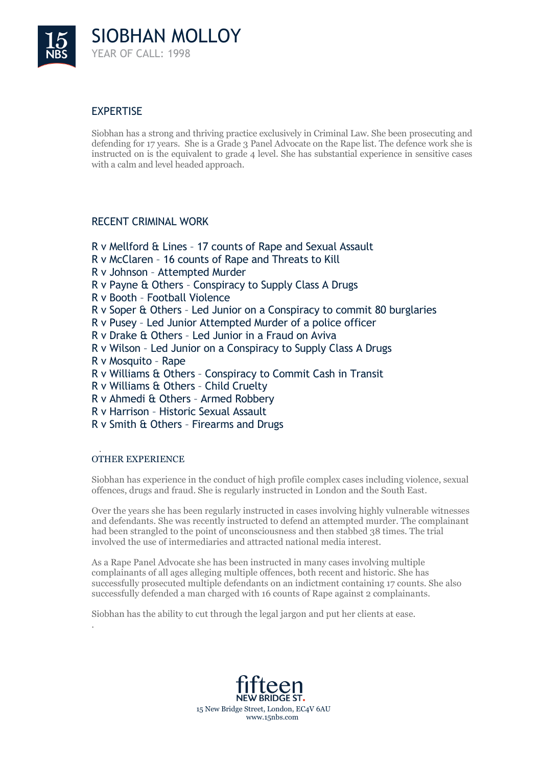

# EXPERTISE

Siobhan has a strong and thriving practice exclusively in Criminal Law. She been prosecuting and defending for 17 years. She is a Grade 3 Panel Advocate on the Rape list. The defence work she is instructed on is the equivalent to grade 4 level. She has substantial experience in sensitive cases with a calm and level headed approach.

### RECENT CRIMINAL WORK

R v Mellford & Lines – 17 counts of Rape and Sexual Assault R v McClaren – 16 counts of Rape and Threats to Kill R v Johnson – Attempted Murder R v Payne & Others – Conspiracy to Supply Class A Drugs R v Booth – Football Violence R v Soper & Others – Led Junior on a Conspiracy to commit 80 burglaries R v Pusey – Led Junior Attempted Murder of a police officer R v Drake & Others – Led Junior in a Fraud on Aviva R v Wilson – Led Junior on a Conspiracy to Supply Class A Drugs R v Mosquito – Rape R v Williams & Others – Conspiracy to Commit Cash in Transit R v Williams & Others – Child Cruelty R v Ahmedi & Others – Armed Robbery R v Harrison – Historic Sexual Assault R v Smith & Others – Firearms and Drugs

#### . OTHER EXPERIENCE

.

Siobhan has experience in the conduct of high profile complex cases including violence, sexual offences, drugs and fraud. She is regularly instructed in London and the South East.

Over the years she has been regularly instructed in cases involving highly vulnerable witnesses and defendants. She was recently instructed to defend an attempted murder. The complainant had been strangled to the point of unconsciousness and then stabbed 38 times. The trial involved the use of intermediaries and attracted national media interest.

As a Rape Panel Advocate she has been instructed in many cases involving multiple complainants of all ages alleging multiple offences, both recent and historic. She has successfully prosecuted multiple defendants on an indictment containing 17 counts. She also successfully defended a man charged with 16 counts of Rape against 2 complainants.

Siobhan has the ability to cut through the legal jargon and put her clients at ease.